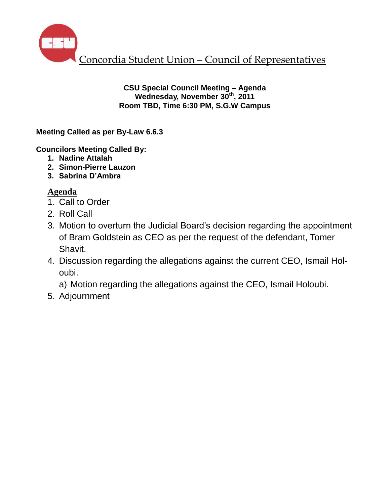

**CSU Special Council Meeting – Agenda Wednesday, November 30th, 2011 Room TBD, Time 6:30 PM, S.G.W Campus**

**Meeting Called as per By-Law 6.6.3**

**Councilors Meeting Called By:** 

- **1. Nadine Attalah**
- **2. Simon-Pierre Lauzon**
- **3. Sabrina D'Ambra**

## **Agenda**

- 1. Call to Order
- 2. Roll Call
- 3. Motion to overturn the Judicial Board's decision regarding the appointment of Bram Goldstein as CEO as per the request of the defendant, Tomer Shavit.
- 4. Discussion regarding the allegations against the current CEO, Ismail Holoubi.

a) Motion regarding the allegations against the CEO, Ismail Holoubi.

5. Adjournment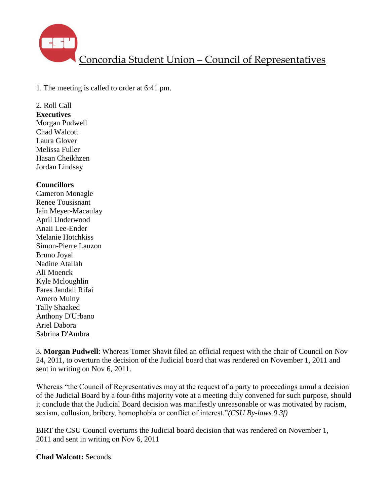

1. The meeting is called to order at 6:41 pm.

## 2. Roll Call

**Executives** Morgan Pudwell Chad Walcott Laura Glover Melissa Fuller Hasan Cheikhzen Jordan Lindsay

## **Councillors**

Cameron Monagle Renee Tousisnant Iain Meyer-Macaulay April Underwood Anaii Lee-Ender Melanie Hotchkiss Simon-Pierre Lauzon Bruno Joyal Nadine Atallah Ali Moenck Kyle Mcloughlin Fares Jandali Rifai Amero Muiny Tally Shaaked Anthony D'Urbano Ariel Dabora Sabrina D'Ambra

3. **Morgan Pudwell**: Whereas Tomer Shavit filed an official request with the chair of Council on Nov 24, 2011, to overturn the decision of the Judicial board that was rendered on November 1, 2011 and sent in writing on Nov 6, 2011.

Whereas "the Council of Representatives may at the request of a party to proceedings annul a decision of the Judicial Board by a four-fiths majority vote at a meeting duly convened for such purpose, should it conclude that the Judicial Board decision was manifestly unreasonable or was motivated by racism, sexism, collusion, bribery, homophobia or conflict of interest."*(CSU By-laws 9.3f)*

BIRT the CSU Council overturns the Judicial board decision that was rendered on November 1, 2011 and sent in writing on Nov 6, 2011

. **Chad Walcott:** Seconds.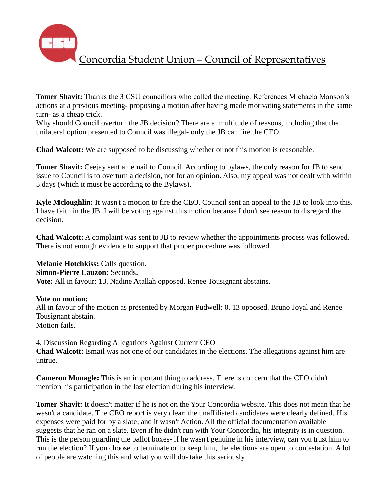

**Tomer Shavit:** Thanks the 3 CSU councillors who called the meeting. References Michaela Manson's actions at a previous meeting- proposing a motion after having made motivating statements in the same turn- as a cheap trick.

Why should Council overturn the JB decision? There are a multitude of reasons, including that the unilateral option presented to Council was illegal- only the JB can fire the CEO.

**Chad Walcott:** We are supposed to be discussing whether or not this motion is reasonable.

**Tomer Shavit:** Ceejay sent an email to Council. According to bylaws, the only reason for JB to send issue to Council is to overturn a decision, not for an opinion. Also, my appeal was not dealt with within 5 days (which it must be according to the Bylaws).

**Kyle Mcloughlin:** It wasn't a motion to fire the CEO. Council sent an appeal to the JB to look into this. I have faith in the JB. I will be voting against this motion because I don't see reason to disregard the decision.

**Chad Walcott:** A complaint was sent to JB to review whether the appointments process was followed. There is not enough evidence to support that proper procedure was followed.

**Melanie Hotchkiss:** Calls question. **Simon-Pierre Lauzon:** Seconds. **Vote:** All in favour: 13. Nadine Atallah opposed. Renee Tousignant abstains.

**Vote on motion:**

All in favour of the motion as presented by Morgan Pudwell: 0. 13 opposed. Bruno Joyal and Renee Tousignant abstain. Motion fails.

4. Discussion Regarding Allegations Against Current CEO **Chad Walcott:** Ismail was not one of our candidates in the elections. The allegations against him are untrue.

**Cameron Monagle:** This is an important thing to address. There is concern that the CEO didn't mention his participation in the last election during his interview.

**Tomer Shavit:** It doesn't matter if he is not on the Your Concordia website. This does not mean that he wasn't a candidate. The CEO report is very clear: the unaffiliated candidates were clearly defined. His expenses were paid for by a slate, and it wasn't Action. All the official documentation available suggests that he ran on a slate. Even if he didn't run with Your Concordia, his integrity is in question. This is the person guarding the ballot boxes- if he wasn't genuine in his interview, can you trust him to run the election? If you choose to terminate or to keep him, the elections are open to contestation. A lot of people are watching this and what you will do- take this seriously.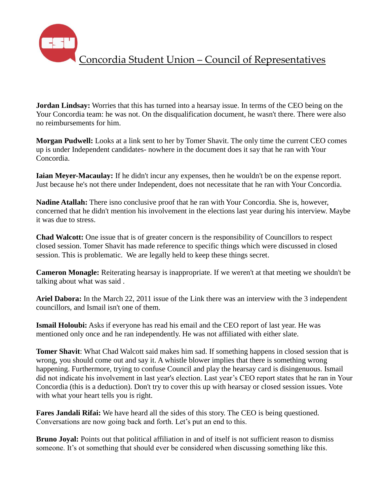**Jordan Lindsay:** Worries that this has turned into a hearsay issue. In terms of the CEO being on the Your Concordia team: he was not. On the disqualification document, he wasn't there. There were also no reimbursements for him.

**Morgan Pudwell:** Looks at a link sent to her by Tomer Shavit. The only time the current CEO comes up is under Independent candidates- nowhere in the document does it say that he ran with Your Concordia.

**Iaian Meyer-Macaulay:** If he didn't incur any expenses, then he wouldn't be on the expense report. Just because he's not there under Independent, does not necessitate that he ran with Your Concordia.

**Nadine Atallah:** There isno conclusive proof that he ran with Your Concordia. She is, however, concerned that he didn't mention his involvement in the elections last year during his interview. Maybe it was due to stress.

**Chad Walcott:** One issue that is of greater concern is the responsibility of Councillors to respect closed session. Tomer Shavit has made reference to specific things which were discussed in closed session. This is problematic. We are legally held to keep these things secret.

**Cameron Monagle:** Reiterating hearsay is inappropriate. If we weren't at that meeting we shouldn't be talking about what was said .

**Ariel Dabora:** In the March 22, 2011 issue of the Link there was an interview with the 3 independent councillors, and Ismail isn't one of them.

**Ismail Holoubi:** Asks if everyone has read his email and the CEO report of last year. He was mentioned only once and he ran independently. He was not affiliated with either slate.

**Tomer Shavit**: What Chad Walcott said makes him sad. If something happens in closed session that is wrong, you should come out and say it. A whistle blower implies that there is something wrong happening. Furthermore, trying to confuse Council and play the hearsay card is disingenuous. Ismail did not indicate his involvement in last year's election. Last year's CEO report states that he ran in Your Concordia (this is a deduction). Don't try to cover this up with hearsay or closed session issues. Vote with what your heart tells you is right.

**Fares Jandali Rifai:** We have heard all the sides of this story. The CEO is being questioned. Conversations are now going back and forth. Let's put an end to this.

**Bruno Joyal:** Points out that political affiliation in and of itself is not sufficient reason to dismiss someone. It's ot something that should ever be considered when discussing something like this.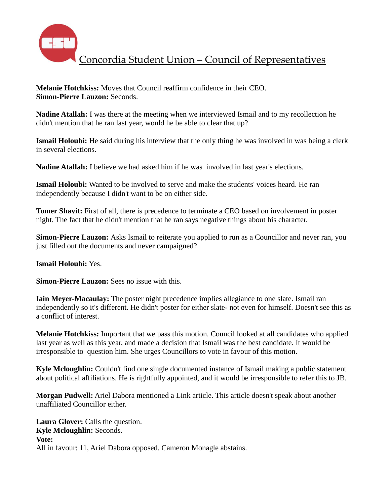

**Melanie Hotchkiss:** Moves that Council reaffirm confidence in their CEO. **Simon-Pierre Lauzon:** Seconds.

**Nadine Atallah:** I was there at the meeting when we interviewed Ismail and to my recollection he didn't mention that he ran last year, would he be able to clear that up?

**Ismail Holoubi:** He said during his interview that the only thing he was involved in was being a clerk in several elections.

**Nadine Atallah:** I believe we had asked him if he was involved in last year's elections.

**Ismail Holoubi:** Wanted to be involved to serve and make the students' voices heard. He ran independently because I didn't want to be on either side.

**Tomer Shavit:** First of all, there is precedence to terminate a CEO based on involvement in poster night. The fact that he didn't mention that he ran says negative things about his character.

**Simon-Pierre Lauzon:** Asks Ismail to reiterate you applied to run as a Councillor and never ran, you just filled out the documents and never campaigned?

**Ismail Holoubi:** Yes.

**Simon-Pierre Lauzon:** Sees no issue with this.

**Iain Meyer-Macaulay:** The poster night precedence implies allegiance to one slate. Ismail ran independently so it's different. He didn't poster for either slate- not even for himself. Doesn't see this as a conflict of interest.

**Melanie Hotchkiss:** Important that we pass this motion. Council looked at all candidates who applied last year as well as this year, and made a decision that Ismail was the best candidate. It would be irresponsible to question him. She urges Councillors to vote in favour of this motion.

**Kyle Mcloughlin:** Couldn't find one single documented instance of Ismail making a public statement about political affiliations. He is rightfully appointed, and it would be irresponsible to refer this to JB.

**Morgan Pudwell:** Ariel Dabora mentioned a Link article. This article doesn't speak about another unaffiliated Councillor either.

**Laura Glover:** Calls the question. **Kyle Mcloughlin:** Seconds. **Vote:** All in favour: 11, Ariel Dabora opposed. Cameron Monagle abstains.